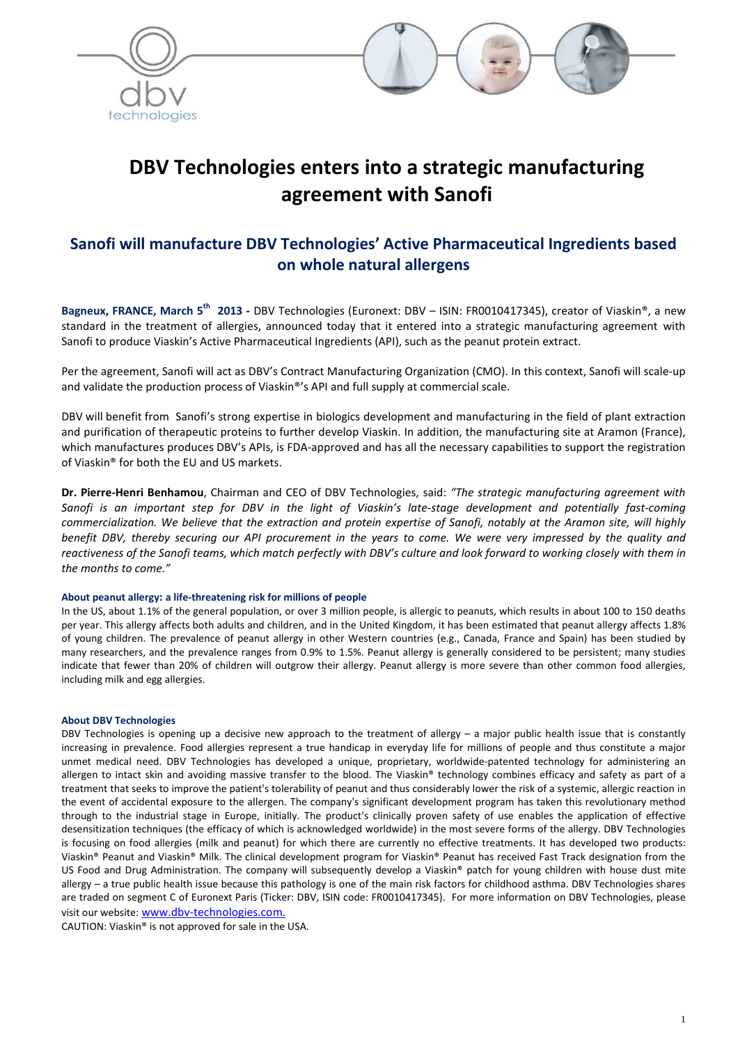



# **DBV Technologies enters into a strategic manufacturing agreement with Sanofi**

# **Sanofi will manufacture DBV Technologies' Active Pharmaceutical Ingredients based on whole natural allergens**

**Bagneux, FRANCE, March 5th 2013 -** DBV Technologies (Euronext: DBV – ISIN: FR0010417345), creator of Viaskin®, a new standard in the treatment of allergies, announced today that it entered into a strategic manufacturing agreement with Sanofi to produce Viaskin's Active Pharmaceutical Ingredients (API), such as the peanut protein extract.

Per the agreement, Sanofi will act as DBV's Contract Manufacturing Organization (CMO). In this context, Sanofi will scale-up and validate the production process of Viaskin®'s API and full supply at commercial scale.

DBV will benefit from Sanofi's strong expertise in biologics development and manufacturing in the field of plant extraction and purification of therapeutic proteins to further develop Viaskin. In addition, the manufacturing site at Aramon (France), which manufactures produces DBV's APIs, is FDA-approved and has all the necessary capabilities to support the registration of Viaskin® for both the EU and US markets.

**Dr. Pierre-Henri Benhamou**, Chairman and CEO of DBV Technologies, said: *"The strategic manufacturing agreement with*  Sanofi is an important step for DBV in the light of Viaskin's late-stage development and potentially fast-coming *commercialization. We believe that the extraction and protein expertise of Sanofi, notably at the Aramon site, will highly benefit DBV, thereby securing our API procurement in the years to come. We were very impressed by the quality and*  reactiveness of the Sanofi teams, which match perfectly with DBV's culture and look forward to working closely with them in *the months to come."* 

#### **About peanut allergy: a life-threatening risk for millions of people**

In the US, about 1.1% of the general population, or over 3 million people, is allergic to peanuts, which results in about 100 to 150 deaths per year. This allergy affects both adults and children, and in the United Kingdom, it has been estimated that peanut allergy affects 1.8% of young children. The prevalence of peanut allergy in other Western countries (e.g., Canada, France and Spain) has been studied by many researchers, and the prevalence ranges from 0.9% to 1.5%. Peanut allergy is generally considered to be persistent; many studies indicate that fewer than 20% of children will outgrow their allergy. Peanut allergy is more severe than other common food allergies, including milk and egg allergies.

#### **About DBV Technologies**

DBV Technologies is opening up a decisive new approach to the treatment of allergy – a major public health issue that is constantly increasing in prevalence. Food allergies represent a true handicap in everyday life for millions of people and thus constitute a major unmet medical need. DBV Technologies has developed a unique, proprietary, worldwide-patented technology for administering an allergen to intact skin and avoiding massive transfer to the blood. The Viaskin® technology combines efficacy and safety as part of a treatment that seeks to improve the patient's tolerability of peanut and thus considerably lower the risk of a systemic, allergic reaction in the event of accidental exposure to the allergen. The company's significant development program has taken this revolutionary method through to the industrial stage in Europe, initially. The product's clinically proven safety of use enables the application of effective desensitization techniques (the efficacy of which is acknowledged worldwide) in the most severe forms of the allergy. DBV Technologies is focusing on food allergies (milk and peanut) for which there are currently no effective treatments. It has developed two products: Viaskin® Peanut and Viaskin® Milk. The clinical development program for Viaskin® Peanut has received Fast Track designation from the US Food and Drug Administration. The company will subsequently develop a Viaskin® patch for young children with house dust mite allergy – a true public health issue because this pathology is one of the main risk factors for childhood asthma. DBV Technologies shares are traded on segment C of Euronext Paris (Ticker: DBV, ISIN code: FR0010417345). For more information on DBV Technologies, please visit our website: www.dbv-technologies.com.

CAUTION: Viaskin® is not approved for sale in the USA.